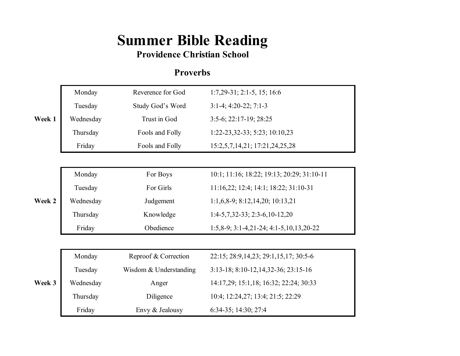## **Summer Bible Reading**

## **Providence Christian School**

## **Proverbs**

| Week 1 | Monday    | Reverence for God      | $1:7,29-31; 2:1-5, 15; 16:6$               |
|--------|-----------|------------------------|--------------------------------------------|
|        | Tuesday   | Study God's Word       | $3:1-4$ ; 4:20-22; 7:1-3                   |
|        | Wednesday | Trust in God           | $3:5-6$ ; $22:17-19$ ; $28:25$             |
|        | Thursday  | Fools and Folly        | 1:22-23,32-33; 5:23; 10:10,23              |
|        | Friday    | Fools and Folly        | 15:2,5,7,14,21; 17:21,24,25,28             |
|        |           |                        |                                            |
|        | Monday    | For Boys               | 10:1; 11:16; 18:22; 19:13; 20:29; 31:10-11 |
|        | Tuesday   | For Girls              | 11:16,22; 12:4; 14:1; 18:22; 31:10-31      |
| Week 2 | Wednesday | Judgement              | 1:1,6,8-9; 8:12,14,20; 10:13,21            |
|        | Thursday  | Knowledge              | $1:4-5,7,32-33; 2:3-6,10-12,20$            |
|        | Friday    | Obedience              | $1:5,8-9; 3:1-4,21-24; 4:1-5,10,13,20-22$  |
|        |           |                        |                                            |
| Week 3 | Monday    | Reproof & Correction   | 22:15; 28:9, 14, 23; 29:1, 15, 17; 30:5-6  |
|        | Tuesday   | Wisdom & Understanding | 3:13-18; 8:10-12, 14, 32-36; 23:15-16      |
|        | Wednesday | Anger                  | 14:17,29; 15:1,18; 16:32; 22:24; 30:33     |
|        | Thursday  | Diligence              | 10:4; 12:24,27; 13:4; 21:5; 22:29          |
|        | Friday    | Envy & Jealousy        | 6:34-35; 14:30; 27:4                       |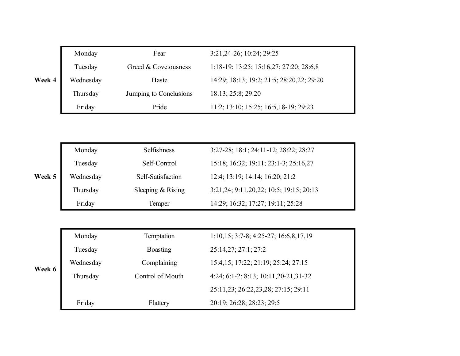|        | Monday    | Fear                   | 3:21, 24-26; 10:24; 29:25                             |
|--------|-----------|------------------------|-------------------------------------------------------|
|        | Tuesday   | Greed & Covetousness   | $1:18-19$ ; $13:25$ ; $15:16,27$ ; $27:20$ ; $28:6,8$ |
| Week 4 | Wednesday | Haste                  | 14:29; 18:13; 19:2; 21:5; 28:20,22; 29:20             |
|        | Thursday  | Jumping to Conclusions | 18:13; 25:8; 29:20                                    |
|        | Friday    | Pride                  | 11:2; 13:10; 15:25; 16:5, 18-19; 29:23                |

|        | Monday    | <b>Selfishness</b>  | 3:27-28; 18:1; 24:11-12; 28:22; 28:27   |  |
|--------|-----------|---------------------|-----------------------------------------|--|
|        | Tuesday   | Self-Control        | 15:18; 16:32; 19:11; 23:1-3; 25:16,27   |  |
| Week 5 | Wednesday | Self-Satisfaction   | 12:4; 13:19; 14:14; 16:20; 21:2         |  |
|        | Thursday  | Sleeping $&$ Rising | 3:21,24; 9:11,20,22; 10:5; 19:15; 20:13 |  |
|        | Friday    | Temper              | 14:29; 16:32; 17:27; 19:11; 25:28       |  |

| Week 6 | Monday    | Temptation       | $1:10,15; 3:7-8; 4:25-27; 16:6,8,17,19$   |  |
|--------|-----------|------------------|-------------------------------------------|--|
|        | Tuesday   | <b>Boasting</b>  | 25:14,27; 27:1; 27:2                      |  |
|        | Wednesday | Complaining      | 15:4, 15: 17:22: 21:19: 25:24: 27:15      |  |
|        | Thursday  | Control of Mouth | 4:24; 6:1-2; 8:13; 10:11, 20-21, 31-32    |  |
|        |           |                  | 25:11, 23; 26: 22, 23, 28; 27: 15; 29: 11 |  |
|        | Friday    | Flattery         | 20:19; 26:28; 28:23; 29:5                 |  |